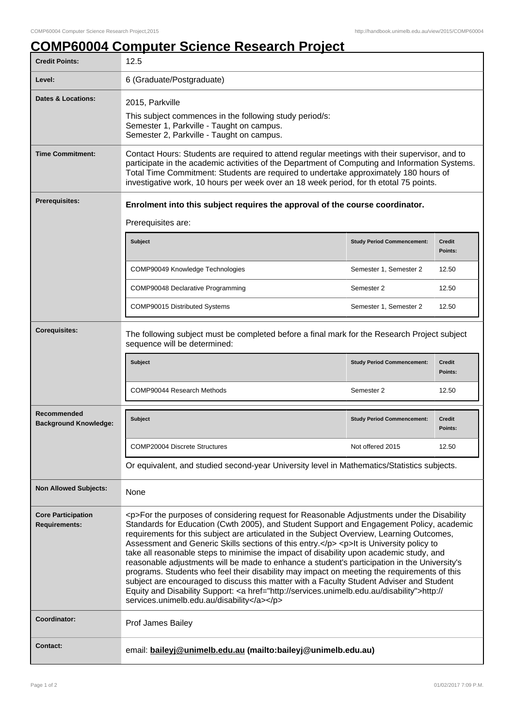## **COMP60004 Computer Science Research Project**

| <b>Credit Points:</b>                                                                                                                                | 12.5                                                                                                                                                                                                                                                                                                                                                                                                                                                                                                                                                                                                                                                                                                                                                                                                                                                                                                                         |                                   |                          |
|------------------------------------------------------------------------------------------------------------------------------------------------------|------------------------------------------------------------------------------------------------------------------------------------------------------------------------------------------------------------------------------------------------------------------------------------------------------------------------------------------------------------------------------------------------------------------------------------------------------------------------------------------------------------------------------------------------------------------------------------------------------------------------------------------------------------------------------------------------------------------------------------------------------------------------------------------------------------------------------------------------------------------------------------------------------------------------------|-----------------------------------|--------------------------|
| Level:                                                                                                                                               | 6 (Graduate/Postgraduate)                                                                                                                                                                                                                                                                                                                                                                                                                                                                                                                                                                                                                                                                                                                                                                                                                                                                                                    |                                   |                          |
| <b>Dates &amp; Locations:</b>                                                                                                                        | 2015, Parkville<br>This subject commences in the following study period/s:<br>Semester 1, Parkville - Taught on campus.<br>Semester 2, Parkville - Taught on campus.                                                                                                                                                                                                                                                                                                                                                                                                                                                                                                                                                                                                                                                                                                                                                         |                                   |                          |
| <b>Time Commitment:</b>                                                                                                                              | Contact Hours: Students are required to attend regular meetings with their supervisor, and to<br>participate in the academic activities of the Department of Computing and Information Systems.<br>Total Time Commitment: Students are required to undertake approximately 180 hours of<br>investigative work, 10 hours per week over an 18 week period, for th etotal 75 points.                                                                                                                                                                                                                                                                                                                                                                                                                                                                                                                                            |                                   |                          |
| Prerequisites:                                                                                                                                       | Enrolment into this subject requires the approval of the course coordinator.<br>Prerequisites are:                                                                                                                                                                                                                                                                                                                                                                                                                                                                                                                                                                                                                                                                                                                                                                                                                           |                                   |                          |
|                                                                                                                                                      | Subject                                                                                                                                                                                                                                                                                                                                                                                                                                                                                                                                                                                                                                                                                                                                                                                                                                                                                                                      | <b>Study Period Commencement:</b> | <b>Credit</b><br>Points: |
|                                                                                                                                                      | COMP90049 Knowledge Technologies                                                                                                                                                                                                                                                                                                                                                                                                                                                                                                                                                                                                                                                                                                                                                                                                                                                                                             | Semester 1, Semester 2            | 12.50                    |
|                                                                                                                                                      | COMP90048 Declarative Programming                                                                                                                                                                                                                                                                                                                                                                                                                                                                                                                                                                                                                                                                                                                                                                                                                                                                                            | Semester 2                        | 12.50                    |
|                                                                                                                                                      | COMP90015 Distributed Systems                                                                                                                                                                                                                                                                                                                                                                                                                                                                                                                                                                                                                                                                                                                                                                                                                                                                                                | Semester 1, Semester 2            | 12.50                    |
| <b>Corequisites:</b><br>The following subject must be completed before a final mark for the Research Project subject<br>sequence will be determined: |                                                                                                                                                                                                                                                                                                                                                                                                                                                                                                                                                                                                                                                                                                                                                                                                                                                                                                                              |                                   |                          |
|                                                                                                                                                      | Subject                                                                                                                                                                                                                                                                                                                                                                                                                                                                                                                                                                                                                                                                                                                                                                                                                                                                                                                      | <b>Study Period Commencement:</b> | <b>Credit</b><br>Points: |
|                                                                                                                                                      | <b>COMP90044 Research Methods</b>                                                                                                                                                                                                                                                                                                                                                                                                                                                                                                                                                                                                                                                                                                                                                                                                                                                                                            | Semester 2                        | 12.50                    |
| Recommended<br><b>Background Knowledge:</b>                                                                                                          | <b>Subject</b>                                                                                                                                                                                                                                                                                                                                                                                                                                                                                                                                                                                                                                                                                                                                                                                                                                                                                                               | <b>Study Period Commencement:</b> | <b>Credit</b><br>Points: |
|                                                                                                                                                      | <b>COMP20004 Discrete Structures</b>                                                                                                                                                                                                                                                                                                                                                                                                                                                                                                                                                                                                                                                                                                                                                                                                                                                                                         | Not offered 2015                  | 12.50                    |
|                                                                                                                                                      | Or equivalent, and studied second-year University level in Mathematics/Statistics subjects.                                                                                                                                                                                                                                                                                                                                                                                                                                                                                                                                                                                                                                                                                                                                                                                                                                  |                                   |                          |
| <b>Non Allowed Subjects:</b>                                                                                                                         | None                                                                                                                                                                                                                                                                                                                                                                                                                                                                                                                                                                                                                                                                                                                                                                                                                                                                                                                         |                                   |                          |
| <b>Core Participation</b><br><b>Requirements:</b>                                                                                                    | <p>For the purposes of considering request for Reasonable Adjustments under the Disability<br/>Standards for Education (Cwth 2005), and Student Support and Engagement Policy, academic<br/>requirements for this subject are articulated in the Subject Overview, Learning Outcomes,<br/>Assessment and Generic Skills sections of this entry.</p> <p>It is University policy to<br/>take all reasonable steps to minimise the impact of disability upon academic study, and<br/>reasonable adjustments will be made to enhance a student's participation in the University's<br/>programs. Students who feel their disability may impact on meeting the requirements of this<br/>subject are encouraged to discuss this matter with a Faculty Student Adviser and Student<br/>Equity and Disability Support: &lt; a href="http://services.unimelb.edu.au/disability"&gt;http://<br/>services.unimelb.edu.au/disability</p> |                                   |                          |
| Coordinator:                                                                                                                                         | Prof James Bailey                                                                                                                                                                                                                                                                                                                                                                                                                                                                                                                                                                                                                                                                                                                                                                                                                                                                                                            |                                   |                          |
| <b>Contact:</b>                                                                                                                                      | email: baileyj@unimelb.edu.au (mailto:baileyj@unimelb.edu.au)                                                                                                                                                                                                                                                                                                                                                                                                                                                                                                                                                                                                                                                                                                                                                                                                                                                                |                                   |                          |